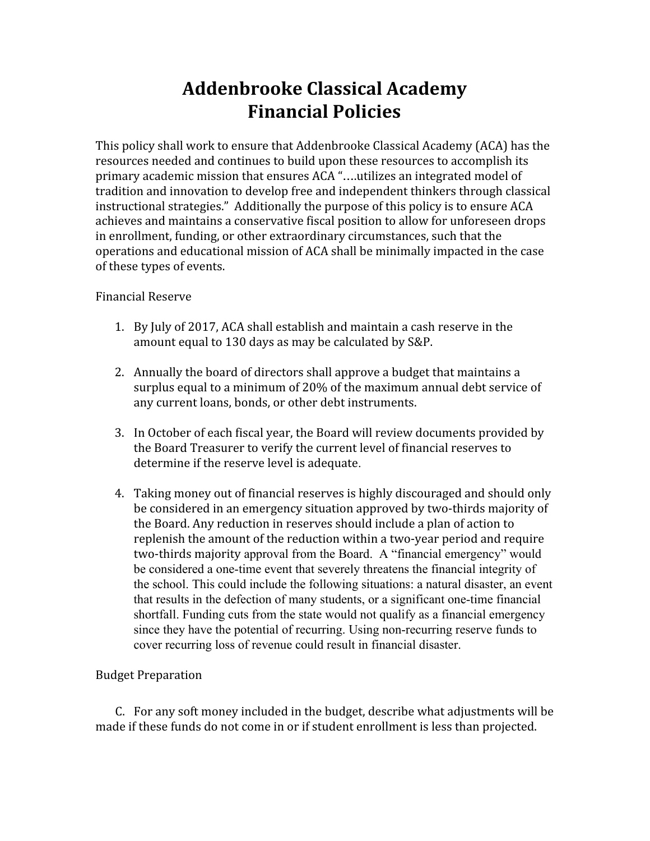# **Addenbrooke Classical Academy Financial Policies**

This policy shall work to ensure that Addenbrooke Classical Academy (ACA) has the resources needed and continues to build upon these resources to accomplish its primary academic mission that ensures ACA "….utilizes an integrated model of tradition and innovation to develop free and independent thinkers through classical instructional strategies." Additionally the purpose of this policy is to ensure ACA achieves and maintains a conservative fiscal position to allow for unforeseen drops in enrollment, funding, or other extraordinary circumstances, such that the operations and educational mission of ACA shall be minimally impacted in the case of these types of events.

# Financial Reserve

- 1. By July of 2017, ACA shall establish and maintain a cash reserve in the amount equal to 130 days as may be calculated by S&P.
- 2. Annually the board of directors shall approve a budget that maintains a surplus equal to a minimum of 20% of the maximum annual debt service of any current loans, bonds, or other debt instruments.
- 3. In October of each fiscal year, the Board will review documents provided by the Board Treasurer to verify the current level of financial reserves to determine if the reserve level is adequate.
- 4. Taking money out of financial reserves is highly discouraged and should only be considered in an emergency situation approved by two-thirds majority of the Board. Any reduction in reserves should include a plan of action to replenish the amount of the reduction within a two-year period and require two-thirds majority approval from the Board. A "financial emergency" would be considered a one-time event that severely threatens the financial integrity of the school. This could include the following situations: a natural disaster, an event that results in the defection of many students, or a significant one-time financial shortfall. Funding cuts from the state would not qualify as a financial emergency since they have the potential of recurring. Using non-recurring reserve funds to cover recurring loss of revenue could result in financial disaster.

### Budget Preparation

C. For any soft money included in the budget, describe what adjustments will be made if these funds do not come in or if student enrollment is less than projected.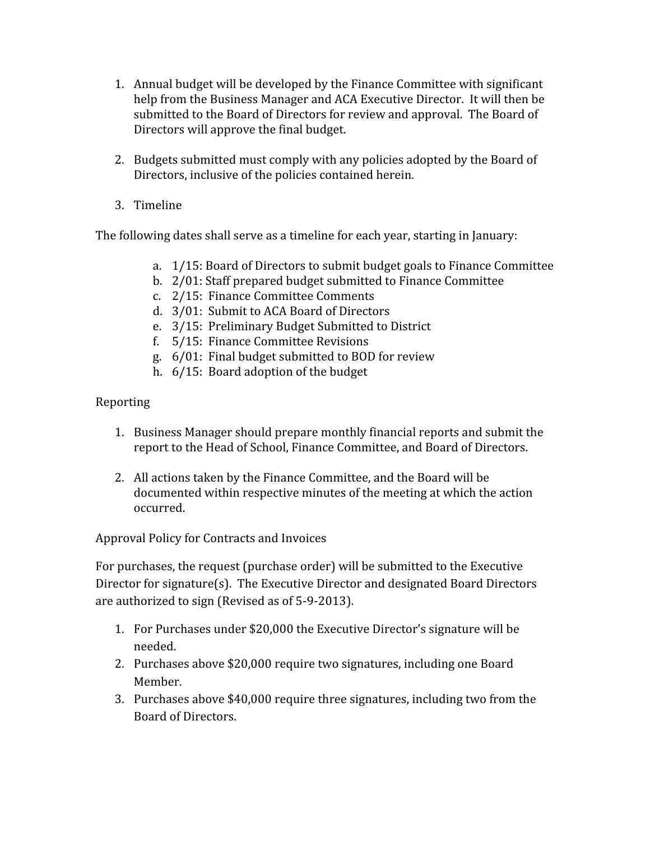- 1. Annual budget will be developed by the Finance Committee with significant help from the Business Manager and ACA Executive Director. It will then be submitted to the Board of Directors for review and approval. The Board of Directors will approve the final budget.
- 2. Budgets submitted must comply with any policies adopted by the Board of Directors, inclusive of the policies contained herein.
- 3. Timeline

The following dates shall serve as a timeline for each year, starting in January:

- a. 1/15: Board of Directors to submit budget goals to Finance Committee
- b. 2/01: Staff prepared budget submitted to Finance Committee
- c. 2/15: Finance Committee Comments
- d. 3/01: Submit to ACA Board of Directors
- e. 3/15: Preliminary Budget Submitted to District
- f. 5/15: Finance Committee Revisions
- g. 6/01: Final budget submitted to BOD for review
- h. 6/15: Board adoption of the budget

# Reporting

- 1. Business Manager should prepare monthly financial reports and submit the report to the Head of School, Finance Committee, and Board of Directors.
- 2. All actions taken by the Finance Committee, and the Board will be documented within respective minutes of the meeting at which the action occurred.

Approval Policy for Contracts and Invoices

For purchases, the request (purchase order) will be submitted to the Executive Director for signature(s). The Executive Director and designated Board Directors are authorized to sign (Revised as of 5-9-2013).

- 1. For Purchases under \$20,000 the Executive Director's signature will be needed.
- 2. Purchases above \$20,000 require two signatures, including one Board Member.
- 3. Purchases above \$40,000 require three signatures, including two from the Board of Directors.